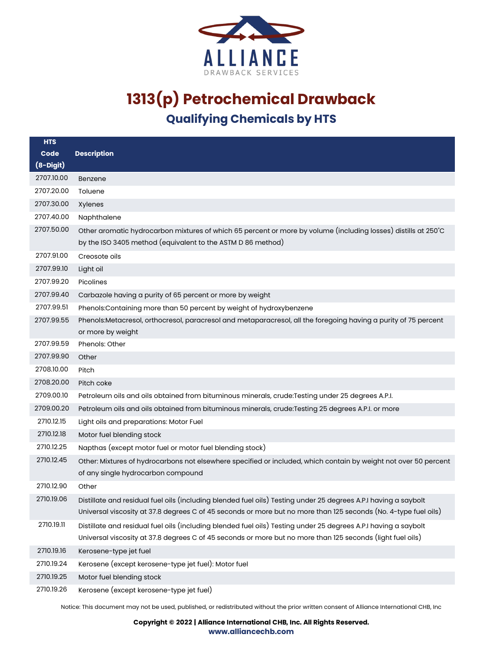

| <b>HTS</b>  |                                                                                                                                                                                                                                    |
|-------------|------------------------------------------------------------------------------------------------------------------------------------------------------------------------------------------------------------------------------------|
| Code        | <b>Description</b>                                                                                                                                                                                                                 |
| $(8-Digit)$ |                                                                                                                                                                                                                                    |
| 2707.10.00  | Benzene                                                                                                                                                                                                                            |
| 2707.20.00  | Toluene                                                                                                                                                                                                                            |
| 2707.30.00  | Xylenes                                                                                                                                                                                                                            |
| 2707.40.00  | Naphthalene                                                                                                                                                                                                                        |
| 2707.50.00  | Other aromatic hydrocarbon mixtures of which 65 percent or more by volume (including losses) distills at 250°C<br>by the ISO 3405 method (equivalent to the ASTM D 86 method)                                                      |
| 2707.91.00  | Creosote oils                                                                                                                                                                                                                      |
| 2707.99.10  | Light oil                                                                                                                                                                                                                          |
| 2707.99.20  | Picolines                                                                                                                                                                                                                          |
| 2707.99.40  | Carbazole having a purity of 65 percent or more by weight                                                                                                                                                                          |
| 2707.99.51  | Phenols: Containing more than 50 percent by weight of hydroxybenzene                                                                                                                                                               |
| 2707.99.55  | Phenols: Metacresol, orthocresol, paracresol and metaparacresol, all the foregoing having a purity of 75 percent                                                                                                                   |
|             | or more by weight                                                                                                                                                                                                                  |
| 2707.99.59  | Phenols: Other                                                                                                                                                                                                                     |
| 2707.99.90  | Other                                                                                                                                                                                                                              |
| 2708.10.00  | Pitch                                                                                                                                                                                                                              |
| 2708.20.00  | Pitch coke                                                                                                                                                                                                                         |
| 2709.00.10  | Petroleum oils and oils obtained from bituminous minerals, crude: Testing under 25 degrees A.P.I.                                                                                                                                  |
| 2709.00.20  | Petroleum oils and oils obtained from bituminous minerals, crude:Testing 25 degrees A.P.I. or more                                                                                                                                 |
| 2710.12.15  | Light oils and preparations: Motor Fuel                                                                                                                                                                                            |
| 2710.12.18  | Motor fuel blending stock                                                                                                                                                                                                          |
| 2710.12.25  | Napthas (except motor fuel or motor fuel blending stock)                                                                                                                                                                           |
| 2710.12.45  | Other: Mixtures of hydrocarbons not elsewhere specified or included, which contain by weight not over 50 percent<br>of any single hydrocarbon compound                                                                             |
| 2710.12.90  | Other                                                                                                                                                                                                                              |
| 2710.19.06  | Distillate and residual fuel oils (including blended fuel oils) Testing under 25 degrees A.P.I having a saybolt<br>Universal viscosity at 37.8 degrees C of 45 seconds or more but no more than 125 seconds (No. 4-type fuel oils) |
| 2710.19.11  | Distillate and residual fuel oils (including blended fuel oils) Testing under 25 degrees A.P.I having a saybolt<br>Universal viscosity at 37.8 degrees C of 45 seconds or more but no more than 125 seconds (light fuel oils)      |
| 2710.19.16  | Kerosene-type jet fuel                                                                                                                                                                                                             |
| 2710.19.24  | Kerosene (except kerosene-type jet fuel): Motor fuel                                                                                                                                                                               |
| 2710.19.25  | Motor fuel blending stock                                                                                                                                                                                                          |
| 2710.19.26  | Kerosene (except kerosene-type jet fuel)                                                                                                                                                                                           |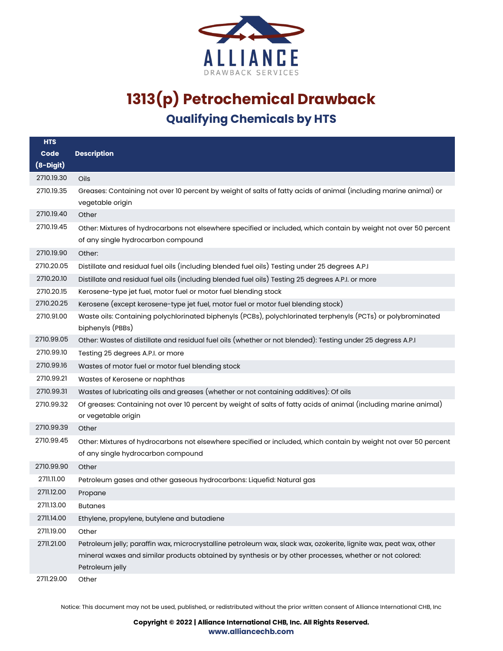

| <b>HTS</b> |                                                                                                                   |
|------------|-------------------------------------------------------------------------------------------------------------------|
| Code       | <b>Description</b>                                                                                                |
| (8-Digit)  |                                                                                                                   |
| 2710.19.30 | Oils                                                                                                              |
| 2710.19.35 | Greases: Containing not over 10 percent by weight of salts of fatty acids of animal (including marine animal) or  |
|            | vegetable origin                                                                                                  |
| 2710.19.40 | Other                                                                                                             |
| 2710.19.45 | Other: Mixtures of hydrocarbons not elsewhere specified or included, which contain by weight not over 50 percent  |
|            | of any single hydrocarbon compound                                                                                |
| 2710.19.90 | Other:                                                                                                            |
| 2710.20.05 | Distillate and residual fuel oils (including blended fuel oils) Testing under 25 degrees A.P.I                    |
| 2710.20.10 | Distillate and residual fuel oils (including blended fuel oils) Testing 25 degrees A.P.I. or more                 |
| 2710.20.15 | Kerosene-type jet fuel, motor fuel or motor fuel blending stock                                                   |
| 2710.20.25 | Kerosene (except kerosene-type jet fuel, motor fuel or motor fuel blending stock)                                 |
| 2710.91.00 | Waste oils: Containing polychlorinated biphenyls (PCBs), polychlorinated terphenyls (PCTs) or polybrominated      |
|            | biphenyls (PBBs)                                                                                                  |
| 2710.99.05 | Other: Wastes of distillate and residual fuel oils (whether or not blended): Testing under 25 degress A.P.I       |
| 2710.99.10 | Testing 25 degrees A.P.I. or more                                                                                 |
| 2710.99.16 | Wastes of motor fuel or motor fuel blending stock                                                                 |
| 2710.99.21 | Wastes of Kerosene or naphthas                                                                                    |
| 2710.99.31 | Wastes of lubricating oils and greases (whether or not containing additives): Of oils                             |
| 2710.99.32 | Of greases: Containing not over 10 percent by weight of salts of fatty acids of animal (including marine animal)  |
|            | or vegetable origin                                                                                               |
| 2710.99.39 | Other                                                                                                             |
| 2710.99.45 | Other: Mixtures of hydrocarbons not elsewhere specified or included, which contain by weight not over 50 percent  |
|            | of any single hydrocarbon compound                                                                                |
| 2710.99.90 | Other                                                                                                             |
| 2711.11.00 | Petroleum gases and other gaseous hydrocarbons: Liquefid: Natural gas                                             |
| 2711.12.00 | Propane                                                                                                           |
| 2711.13.00 | <b>Butanes</b>                                                                                                    |
| 2711.14.00 | Ethylene, propylene, butylene and butadiene                                                                       |
| 2711.19.00 | Other                                                                                                             |
| 2711.21.00 | Petroleum jelly; paraffin wax, microcrystalline petroleum wax, slack wax, ozokerite, lignite wax, peat wax, other |
|            | mineral waxes and similar products obtained by synthesis or by other processes, whether or not colored:           |
|            | Petroleum jelly                                                                                                   |
| 2711.29.00 | Other                                                                                                             |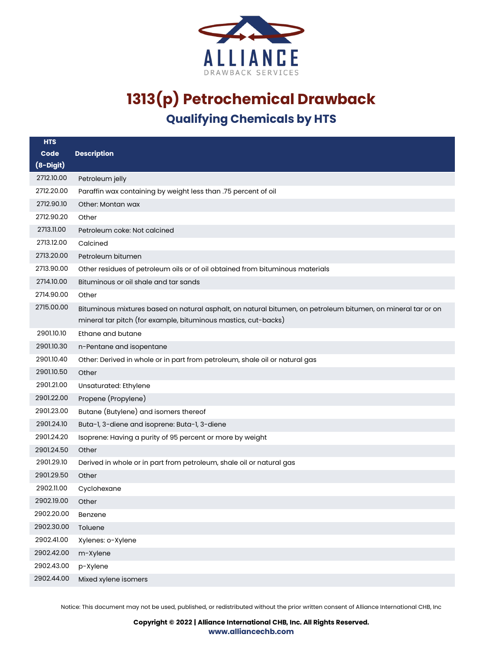

| <b>HTS</b>  |                                                                                                                                                                                |
|-------------|--------------------------------------------------------------------------------------------------------------------------------------------------------------------------------|
| Code        | <b>Description</b>                                                                                                                                                             |
| $(8-Digit)$ |                                                                                                                                                                                |
| 2712.10.00  | Petroleum jelly                                                                                                                                                                |
| 2712.20.00  | Paraffin wax containing by weight less than .75 percent of oil                                                                                                                 |
| 2712.90.10  | Other: Montan wax                                                                                                                                                              |
| 2712.90.20  | Other                                                                                                                                                                          |
| 2713.11.00  | Petroleum coke: Not calcined                                                                                                                                                   |
| 2713.12.00  | Calcined                                                                                                                                                                       |
| 2713.20.00  | Petroleum bitumen                                                                                                                                                              |
| 2713.90.00  | Other residues of petroleum oils or of oil obtained from bituminous materials                                                                                                  |
| 2714.10.00  | Bituminous or oil shale and tar sands                                                                                                                                          |
| 2714.90.00  | Other                                                                                                                                                                          |
| 2715.00.00  | Bituminous mixtures based on natural asphalt, on natural bitumen, on petroleum bitumen, on mineral tar or on<br>mineral tar pitch (for example, bituminous mastics, cut-backs) |
| 2901.10.10  | Ethane and butane                                                                                                                                                              |
| 2901.10.30  | n-Pentane and isopentane                                                                                                                                                       |
| 2901.10.40  | Other: Derived in whole or in part from petroleum, shale oil or natural gas                                                                                                    |
| 2901.10.50  | Other                                                                                                                                                                          |
| 2901.21.00  | Unsaturated: Ethylene                                                                                                                                                          |
| 2901.22.00  | Propene (Propylene)                                                                                                                                                            |
| 2901.23.00  | Butane (Butylene) and isomers thereof                                                                                                                                          |
| 2901.24.10  | Buta-1, 3-diene and isoprene: Buta-1, 3-diene                                                                                                                                  |
| 2901.24.20  | Isoprene: Having a purity of 95 percent or more by weight                                                                                                                      |
| 2901.24.50  | Other                                                                                                                                                                          |
| 2901.29.10  | Derived in whole or in part from petroleum, shale oil or natural gas                                                                                                           |
| 2901.29.50  | Other                                                                                                                                                                          |
| 2902.11.00  | Cyclohexane                                                                                                                                                                    |
| 2902.19.00  | Other                                                                                                                                                                          |
| 2902.20.00  | Benzene                                                                                                                                                                        |
| 2902.30.00  | Toluene                                                                                                                                                                        |
| 2902.41.00  | Xylenes: o-Xylene                                                                                                                                                              |
| 2902.42.00  | m-Xylene                                                                                                                                                                       |
| 2902.43.00  | p-Xylene                                                                                                                                                                       |
| 2902.44.00  | Mixed xylene isomers                                                                                                                                                           |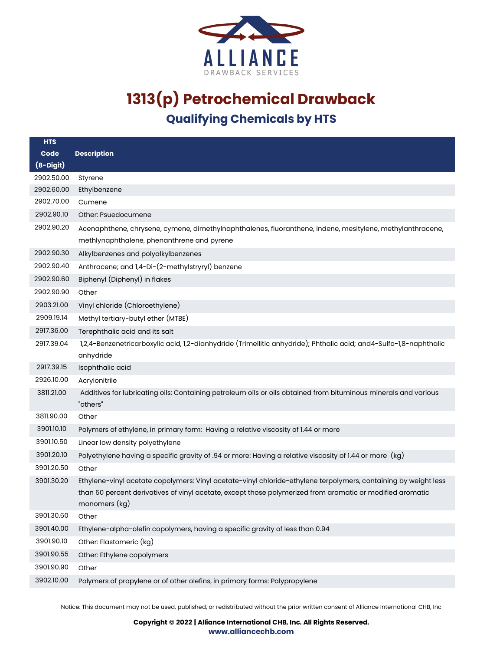

| <b>HTS</b>  |                                                                                                                                                                                                                                               |
|-------------|-----------------------------------------------------------------------------------------------------------------------------------------------------------------------------------------------------------------------------------------------|
| Code        | <b>Description</b>                                                                                                                                                                                                                            |
| $(8-Digit)$ |                                                                                                                                                                                                                                               |
| 2902.50.00  | Styrene                                                                                                                                                                                                                                       |
| 2902.60.00  | Ethylbenzene                                                                                                                                                                                                                                  |
| 2902.70.00  | Cumene                                                                                                                                                                                                                                        |
| 2902.90.10  | Other: Psuedocumene                                                                                                                                                                                                                           |
| 2902.90.20  | Acenaphthene, chrysene, cymene, dimethylnaphthalenes, fluoranthene, indene, mesitylene, methylanthracene,                                                                                                                                     |
|             | methlynaphthalene, phenanthrene and pyrene                                                                                                                                                                                                    |
| 2902.90.30  | Alkylbenzenes and polyalkylbenzenes                                                                                                                                                                                                           |
| 2902.90.40  | Anthracene; and 1,4-Di-(2-methylstryryl) benzene                                                                                                                                                                                              |
| 2902.90.60  | Biphenyl (Diphenyl) in flakes                                                                                                                                                                                                                 |
| 2902.90.90  | Other                                                                                                                                                                                                                                         |
| 2903.21.00  | Vinyl chloride (Chloroethylene)                                                                                                                                                                                                               |
| 2909.19.14  | Methyl tertiary-butyl ether (MTBE)                                                                                                                                                                                                            |
| 2917.36.00  | Terephthalic acid and its salt                                                                                                                                                                                                                |
| 2917.39.04  | 1,2,4-Benzenetricarboxylic acid, 1,2-dianhydride (Trimellitic anhydride); Phthalic acid; and4-Sulfo-1,8-naphthalic<br>anhydride                                                                                                               |
| 2917.39.15  | Isophthalic acid                                                                                                                                                                                                                              |
| 2926.10.00  | Acrylonitrile                                                                                                                                                                                                                                 |
| 3811.21.00  | Additives for lubricating oils: Containing petroleum oils or oils obtained from bituminous minerals and various<br>"others"                                                                                                                   |
| 3811.90.00  | Other                                                                                                                                                                                                                                         |
| 3901.10.10  | Polymers of ethylene, in primary form: Having a relative viscosity of 1.44 or more                                                                                                                                                            |
| 3901.10.50  | Linear low density polyethylene                                                                                                                                                                                                               |
| 3901.20.10  | Polyethylene having a specific gravity of .94 or more: Having a relative viscosity of 1.44 or more (kg)                                                                                                                                       |
| 3901.20.50  | Other                                                                                                                                                                                                                                         |
| 3901.30.20  | Ethylene-vinyl acetate copolymers: Vinyl acetate-vinyl chloride-ethylene terpolymers, containing by weight less<br>than 50 percent derivatives of vinyl acetate, except those polymerized from aromatic or modified aromatic<br>monomers (kg) |
| 3901.30.60  | Other                                                                                                                                                                                                                                         |
| 3901.40.00  | Ethylene-alpha-olefin copolymers, having a specific gravity of less than 0.94                                                                                                                                                                 |
| 3901.90.10  | Other: Elastomeric (kg)                                                                                                                                                                                                                       |
| 3901.90.55  | Other: Ethylene copolymers                                                                                                                                                                                                                    |
| 3901.90.90  | Other                                                                                                                                                                                                                                         |
| 3902.10.00  | Polymers of propylene or of other olefins, in primary forms: Polypropylene                                                                                                                                                                    |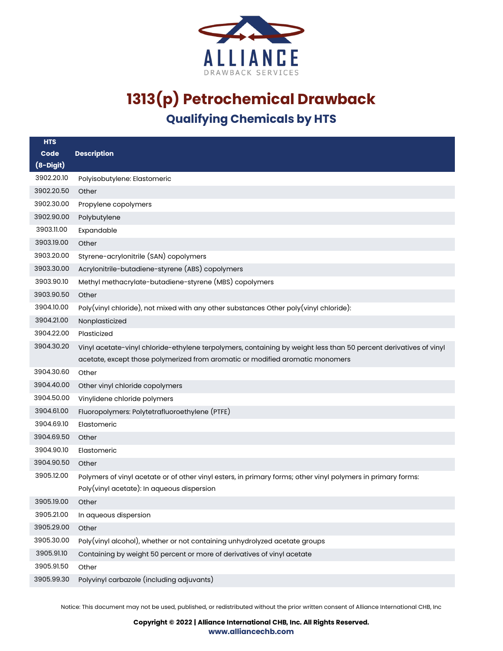

| <b>HTS</b>  |                                                                                                                   |
|-------------|-------------------------------------------------------------------------------------------------------------------|
| Code        | <b>Description</b>                                                                                                |
| $(8-Digit)$ |                                                                                                                   |
| 3902.20.10  | Polyisobutylene: Elastomeric                                                                                      |
| 3902.20.50  | Other                                                                                                             |
| 3902.30.00  | Propylene copolymers                                                                                              |
| 3902.90.00  | Polybutylene                                                                                                      |
| 3903.11.00  | Expandable                                                                                                        |
| 3903.19.00  | Other                                                                                                             |
| 3903.20.00  | Styrene-acrylonitrile (SAN) copolymers                                                                            |
| 3903.30.00  | Acrylonitrile-butadiene-styrene (ABS) copolymers                                                                  |
| 3903.90.10  | Methyl methacrylate-butadiene-styrene (MBS) copolymers                                                            |
| 3903.90.50  | Other                                                                                                             |
| 3904.10.00  | Poly(vinyl chloride), not mixed with any other substances Other poly(vinyl chloride):                             |
| 3904.21.00  | Nonplasticized                                                                                                    |
| 3904.22.00  | Plasticized                                                                                                       |
| 3904.30.20  | Vinyl acetate-vinyl chloride-ethylene terpolymers, containing by weight less than 50 percent derivatives of vinyl |
|             | acetate, except those polymerized from aromatic or modified aromatic monomers                                     |
| 3904.30.60  | Other                                                                                                             |
| 3904.40.00  | Other vinyl chloride copolymers                                                                                   |
| 3904.50.00  | Vinylidene chloride polymers                                                                                      |
| 3904.61.00  | Fluoropolymers: Polytetrafluoroethylene (PTFE)                                                                    |
| 3904.69.10  | Elastomeric                                                                                                       |
| 3904.69.50  | Other                                                                                                             |
| 3904.90.10  | Elastomeric                                                                                                       |
| 3904.90.50  | Other                                                                                                             |
| 3905.12.00  | Polymers of vinyl acetate or of other vinyl esters, in primary forms; other vinyl polymers in primary forms:      |
|             | Poly(vinyl acetate): In aqueous dispersion                                                                        |
| 3905.19.00  | Other                                                                                                             |
| 3905.21.00  | In aqueous dispersion                                                                                             |
| 3905.29.00  | Other                                                                                                             |
| 3905.30.00  | Poly(vinyl alcohol), whether or not containing unhydrolyzed acetate groups                                        |
| 3905.91.10  | Containing by weight 50 percent or more of derivatives of vinyl acetate                                           |
| 3905.91.50  | Other                                                                                                             |
| 3905.99.30  | Polyvinyl carbazole (including adjuvants)                                                                         |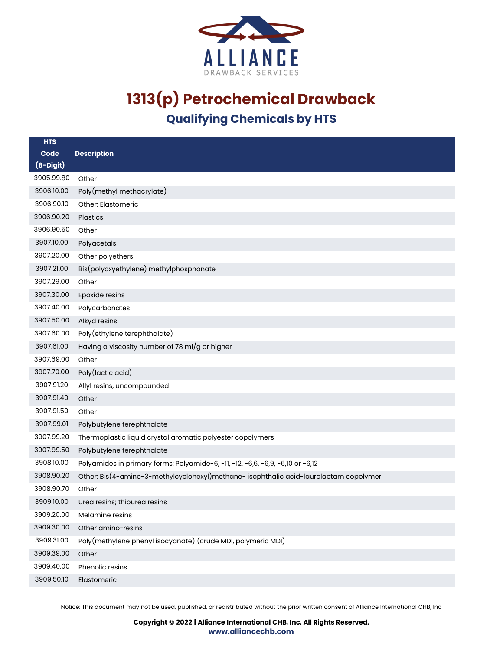

| <b>HTS</b>  |                                                                                      |
|-------------|--------------------------------------------------------------------------------------|
| Code        | <b>Description</b>                                                                   |
| $(8-Digit)$ |                                                                                      |
| 3905.99.80  | Other                                                                                |
| 3906.10.00  | Poly(methyl methacrylate)                                                            |
| 3906.90.10  | Other: Elastomeric                                                                   |
| 3906.90.20  | <b>Plastics</b>                                                                      |
| 3906.90.50  | Other                                                                                |
| 3907.10.00  | Polyacetals                                                                          |
| 3907.20.00  | Other polyethers                                                                     |
| 3907.21.00  | Bis(polyoxyethylene) methylphosphonate                                               |
| 3907.29.00  | Other                                                                                |
| 3907.30.00  | Epoxide resins                                                                       |
| 3907.40.00  | Polycarbonates                                                                       |
| 3907.50.00  | Alkyd resins                                                                         |
| 3907.60.00  | Poly(ethylene terephthalate)                                                         |
| 3907.61.00  | Having a viscosity number of 78 ml/g or higher                                       |
| 3907.69.00  | Other                                                                                |
| 3907.70.00  | Poly(lactic acid)                                                                    |
| 3907.91.20  | Allyl resins, uncompounded                                                           |
| 3907.91.40  | Other                                                                                |
| 3907.91.50  | Other                                                                                |
| 3907.99.01  | Polybutylene terephthalate                                                           |
| 3907.99.20  | Thermoplastic liquid crystal aromatic polyester copolymers                           |
| 3907.99.50  | Polybutylene terephthalate                                                           |
| 3908.10.00  | Polyamides in primary forms: Polyamide-6, -11, -12, -6,6, -6,9, -6,10 or -6,12       |
| 3908.90.20  | Other: Bis(4-amino-3-methylcyclohexyl)methane-isophthalic acid-laurolactam copolymer |
| 3908.90.70  | Other                                                                                |
| 3909.10.00  | Urea resins; thiourea resins                                                         |
| 3909.20.00  | Melamine resins                                                                      |
| 3909.30.00  | Other amino-resins                                                                   |
| 3909.31.00  | Poly(methylene phenyl isocyanate) (crude MDI, polymeric MDI)                         |
| 3909.39.00  | Other                                                                                |
| 3909.40.00  | Phenolic resins                                                                      |
| 3909.50.10  | Elastomeric                                                                          |